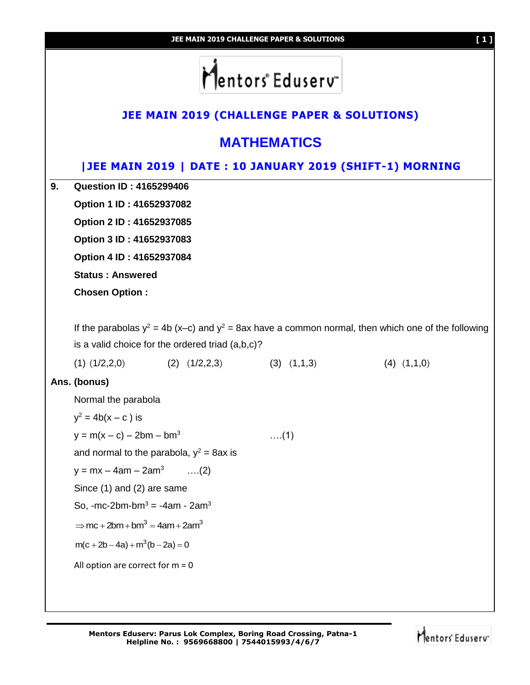

**Mentors Eduserv: Parus Lok Complex, Boring Road Crossing, Patna-1 Helpline No. : 9569668800 | 7544015993/4/6/7**

Mentors Eduserv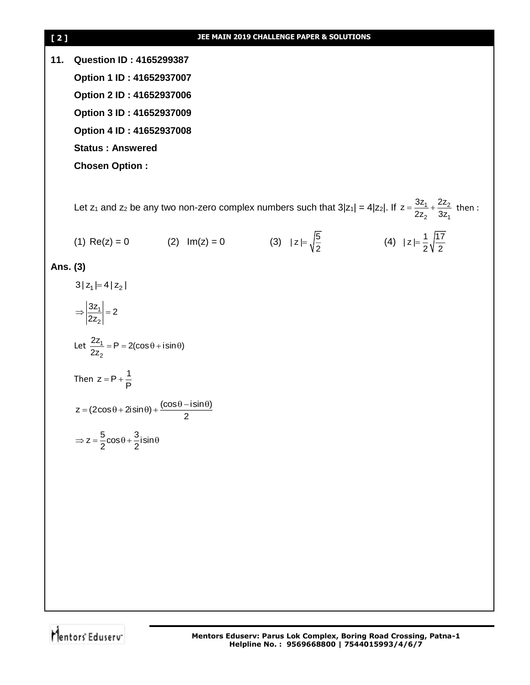**[ 2 ] JEE MAIN 2019 CHALLENGE PAPER & SOLUTIONS 11. Question ID : 4165299387 Option 1 ID : 41652937007 Option 2 ID : 41652937006 Option 3 ID : 41652937009 Option 4 ID : 41652937008 Status : Answered Chosen Option :**  Let  $z_1$  and  $z_2$  be any two non-zero complex numbers such that  $3|z_1| = 4|z_2|$ . If  $z = \frac{3z_1}{2} + \frac{2z_2}{2}$ 2 UL1  $z = \frac{3z_1}{2z_2} + \frac{2z_2}{3z_4}$  then : (1) Re(z) = 0 (2)  $Im(z) = 0$  (3)  $|z| = \sqrt{\frac{5}{2}}$  (4)  $|z| = \frac{1}{2}\sqrt{\frac{17}{2}}$ **Ans. (3)**  $3|z_1| = 4|z_2|$ 1 2  $\Rightarrow \left|\frac{3z_1}{2z_2}\right| = 2$ Let  $\frac{221}{2}$ 2  $\frac{2z_1}{2z_2}$  = P = 2(cos  $\theta$  + isin  $\theta$ ) Then  $z = P + \frac{1}{P}$  $z = (2\cos\theta + 2i\sin\theta) + \frac{(\cos\theta - i\sin\theta)}{2}$  $=(2\cos\theta+2i\sin\theta)+\frac{(\cos\theta-i\sin\theta)}{2}$  $z = \frac{5}{2}\cos\theta + \frac{3}{2}i\sin\theta$  $\Rightarrow$  z =  $\frac{5}{6}$ cos $\theta$  +  $\frac{3}{6}$ isin $\theta$ 

Mentors Eduserv